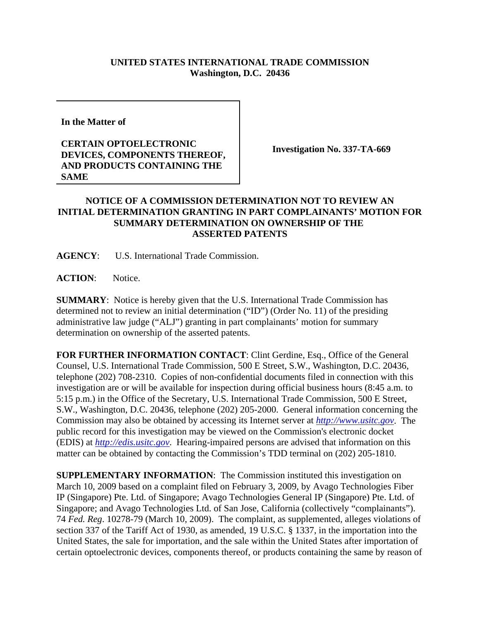## **UNITED STATES INTERNATIONAL TRADE COMMISSION Washington, D.C. 20436**

**In the Matter of** 

## **CERTAIN OPTOELECTRONIC DEVICES, COMPONENTS THEREOF, AND PRODUCTS CONTAINING THE SAME**

**Investigation No. 337-TA-669**

## **NOTICE OF A COMMISSION DETERMINATION NOT TO REVIEW AN INITIAL DETERMINATION GRANTING IN PART COMPLAINANTS' MOTION FOR SUMMARY DETERMINATION ON OWNERSHIP OF THE ASSERTED PATENTS**

**AGENCY**: U.S. International Trade Commission.

**ACTION**: Notice.

**SUMMARY**: Notice is hereby given that the U.S. International Trade Commission has determined not to review an initial determination ("ID") (Order No. 11) of the presiding administrative law judge ("ALJ") granting in part complainants' motion for summary determination on ownership of the asserted patents.

**FOR FURTHER INFORMATION CONTACT**: Clint Gerdine, Esq., Office of the General Counsel, U.S. International Trade Commission, 500 E Street, S.W., Washington, D.C. 20436, telephone (202) 708-2310. Copies of non-confidential documents filed in connection with this investigation are or will be available for inspection during official business hours (8:45 a.m. to 5:15 p.m.) in the Office of the Secretary, U.S. International Trade Commission, 500 E Street, S.W., Washington, D.C. 20436, telephone (202) 205-2000. General information concerning the Commission may also be obtained by accessing its Internet server at *http://www.usitc.gov*. The public record for this investigation may be viewed on the Commission's electronic docket (EDIS) at *http://edis.usitc.gov*. Hearing-impaired persons are advised that information on this matter can be obtained by contacting the Commission's TDD terminal on (202) 205-1810.

**SUPPLEMENTARY INFORMATION**: The Commission instituted this investigation on March 10, 2009 based on a complaint filed on February 3, 2009, by Avago Technologies Fiber IP (Singapore) Pte. Ltd. of Singapore; Avago Technologies General IP (Singapore) Pte. Ltd. of Singapore; and Avago Technologies Ltd. of San Jose, California (collectively "complainants"). 74 *Fed. Reg*. 10278-79 (March 10, 2009). The complaint, as supplemented, alleges violations of section 337 of the Tariff Act of 1930, as amended, 19 U.S.C. § 1337, in the importation into the United States, the sale for importation, and the sale within the United States after importation of certain optoelectronic devices, components thereof, or products containing the same by reason of